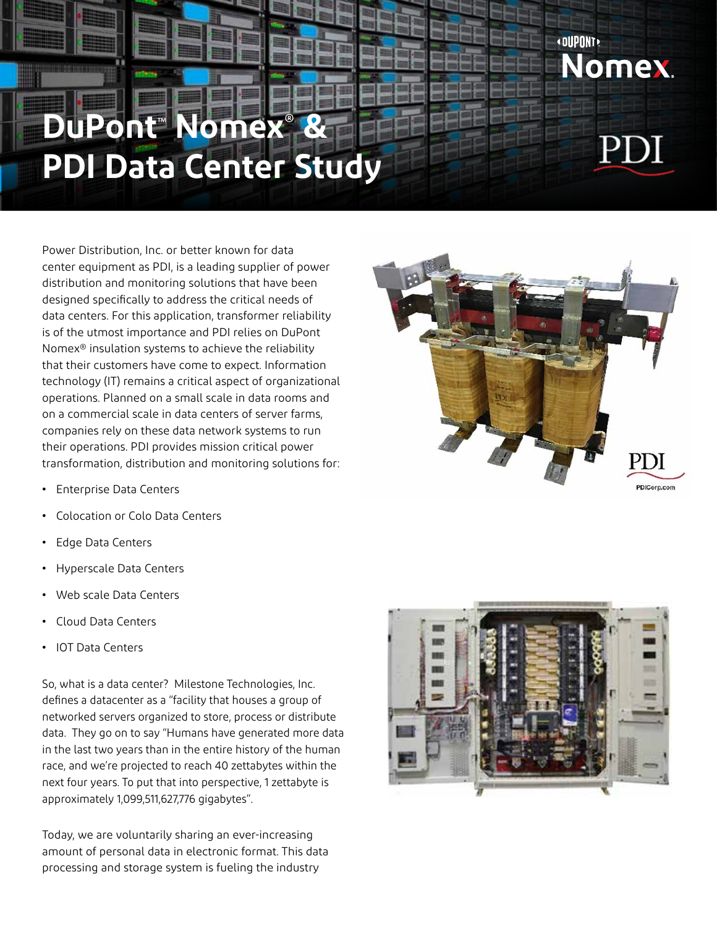## **DuPont**™  **Nomex® & PDI Data Center Study**

Power Distribution, Inc. or better known for data center equipment as PDI, is a leading supplier of power distribution and monitoring solutions that have been designed specifically to address the critical needs of data centers. For this application, transformer reliability is of the utmost importance and PDI relies on DuPont Nomex® insulation systems to achieve the reliability that their customers have come to expect. Information technology (IT) remains a critical aspect of organizational operations. Planned on a small scale in data rooms and on a commercial scale in data centers of server farms, companies rely on these data network systems to run their operations. PDI provides mission critical power transformation, distribution and monitoring solutions for:

- **•** Enterprise Data Centers
- **•** Colocation or Colo Data Centers
- **•** Edge Data Centers
- **•** Hyperscale Data Centers
- **•** Web scale Data Centers
- **•** Cloud Data Centers
- **•** IOT Data Centers

So, what is a data center? Milestone Technologies, Inc. defines a datacenter as a "facility that houses a group of networked servers organized to store, process or distribute data. They go on to say "Humans have generated more data in the last two years than in the entire history of the human race, and we're projected to reach 40 zettabytes within the next four years. To put that into perspective, 1 zettabyte is approximately 1,099,511,627,776 gigabytes".

Today, we are voluntarily sharing an ever-increasing amount of personal data in electronic format. This data processing and storage system is fueling the industry





Nomex.

**«DUPONT»** 

## PDI